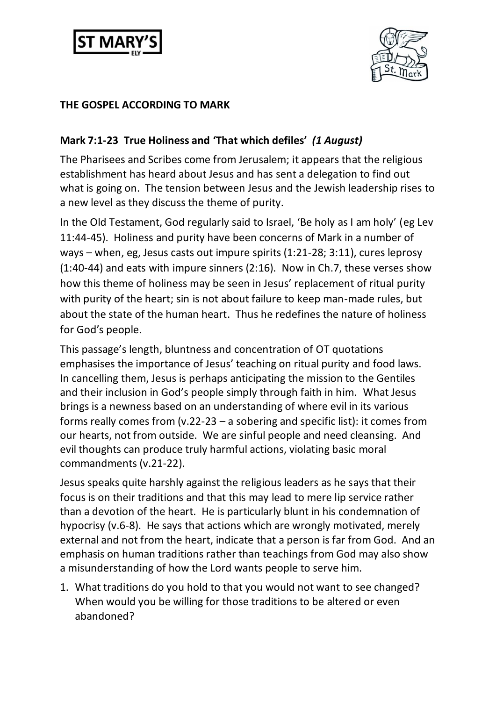



## **THE GOSPEL ACCORDING TO MARK**

## **Mark 7:1-23 True Holiness and 'That which defiles'** *(1 August)*

The Pharisees and Scribes come from Jerusalem; it appears that the religious establishment has heard about Jesus and has sent a delegation to find out what is going on. The tension between Jesus and the Jewish leadership rises to a new level as they discuss the theme of purity.

In the Old Testament, God regularly said to Israel, 'Be holy as I am holy' (eg Lev 11:44-45). Holiness and purity have been concerns of Mark in a number of ways – when, eg, Jesus casts out impure spirits (1:21-28; 3:11), cures leprosy (1:40-44) and eats with impure sinners (2:16). Now in Ch.7, these verses show how this theme of holiness may be seen in Jesus' replacement of ritual purity with purity of the heart; sin is not about failure to keep man-made rules, but about the state of the human heart. Thus he redefines the nature of holiness for God's people.

This passage's length, bluntness and concentration of OT quotations emphasises the importance of Jesus' teaching on ritual purity and food laws. In cancelling them, Jesus is perhaps anticipating the mission to the Gentiles and their inclusion in God's people simply through faith in him. What Jesus brings is a newness based on an understanding of where evil in its various forms really comes from (v.22-23 – a sobering and specific list): it comes from our hearts, not from outside. We are sinful people and need cleansing. And evil thoughts can produce truly harmful actions, violating basic moral commandments (v.21-22).

Jesus speaks quite harshly against the religious leaders as he says that their focus is on their traditions and that this may lead to mere lip service rather than a devotion of the heart. He is particularly blunt in his condemnation of hypocrisy (v.6-8). He says that actions which are wrongly motivated, merely external and not from the heart, indicate that a person is far from God. And an emphasis on human traditions rather than teachings from God may also show a misunderstanding of how the Lord wants people to serve him.

1. What traditions do you hold to that you would not want to see changed? When would you be willing for those traditions to be altered or even abandoned?